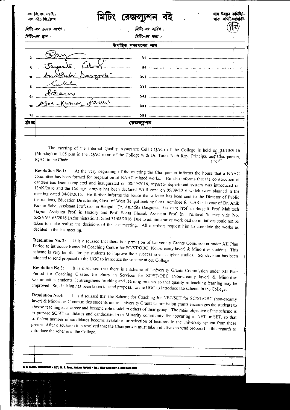| এস.জি.এস.ওয়াই./<br>এস. এইচ. জি./ক্লাৰ | <u> ( ମୁଖିକା</u>      |  |
|----------------------------------------|-----------------------|--|
| মিটিং-এর ক্রমিক সংখ্যা :               | মিটিং-এর ডারিখ:       |  |
| মিটিং-এর স্থান :                       | त्रिग्रि-अत्र मभन्न : |  |
|                                        | সভ্যগণের নাম          |  |
|                                        | ы                     |  |
| ميره آ                                 |                       |  |
| ভা                                     | $D = \pi \pi / 5$     |  |
| 81                                     |                       |  |
| ¢<br>K umo                             |                       |  |
|                                        | 501                   |  |
| ۹Ι                                     |                       |  |
|                                        |                       |  |

The meeting of the Internal Quality Assurance Cell (IQAC) of the College is held  $\text{on: } 03/10/2016$ (Monday) at 1.05 p.m in the IQAC room of the College with Dr. Tarak Nath Roy, Principal and Chairperson, IQAC in the Chair.  $\sim 27$ 

**Resolution No.1:** At the very beginning of the meeting the Chairperson informs the house that a NAAC committee has been formed for preparation of NAAC related works. He also informs that the construction of canteen has been completed and inaugurated on 08/09/2016, separate department system was introduced on 13/09/2016 and the College campus has been declared Wi-fi zone on 05/09/2016 which were planned in the meeting dated 04/08/2015. He further informs the house that a letter has been sent to the Director of Public Instructions, Education Directorate, Govt. of West Bengal seeking Govt. nominee for CAS in favour of Dr. Anik Kumar Saha, Assistant Professor in Bengali, Dr. Anindita Dasgupta, Assistant Prof. in Bengali, Prof. Mahitosh Gayen, Assistant Prof. in History and Prof. Soma Ghosal, Assistant Prof. in Political Science vide No. SRSVM/163/2016 (Administration) Dated 31/08/2016. Due to administrative workload no initiatives could not be taken to make realize the decisions of the last meeting. All members request him to complete the works as decided in the last meeting.

It is discussed that there is a provision of University Grants Commission under XII Plan **Resolution No. 2:** Period to introduce Remedial Coaching Centre for SC/ST/OBC (Non-creamy layer) & Minorities students. This scheme is very helpful for the students to improve their success rate in higher studies. So, decision has been adopted to send proposal to the UGC to introduce the scheme at our College.

It is discussed that there is a scheme of University Grants Commission under XII Plan **Resolution No.3:** Period for Coaching Classes for Entry in Services for SC/ST/OBC (Non-creamy layer) & Minorities Communities students. It strengthens teaching and learning process so that quality in teaching learning may be improved. So, decision has been taken to send proposal to the UGC to introduce the scheme in the College.

It is discussed that the Scheme for Coaching for NET/SET for SC/ST/OBC (non-creamy **Resolution No.4:** layer) & Minorities Communities students under University Grants Commission grants encourages the students to choose teaching as a career and become role model to others of their group. The main objective of the scheme is to prepare SC/ST candidates and candidates from Minority community for appearing in NET or SET, so that sufficient number of candidates become available for selection of lecturers in the university system from these groups. After discussion it is resolved that the Chairperson must take initiatives to send proposal in this regards to introduce the scheme in the College.

ita 700 000 + Tal. : ARRII 2361 9467 A